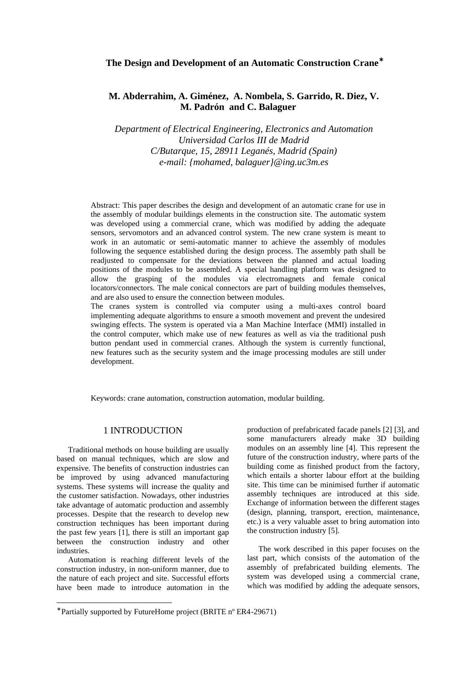# **The Design and Development of an Automatic Construction Crane**<sup>∗</sup>

# **M. Abderrahim, A. Giménez, A. Nombela, S. Garrido, R. Diez, V. M. Padrón and C. Balaguer**

*Department of Electrical Engineering, Electronics and Automation Universidad Carlos III de Madrid C/Butarque, 15, 28911 Leganés, Madrid (Spain) e-mail: {mohamed, balaguer}@ing.uc3m.es*

Abstract: This paper describes the design and development of an automatic crane for use in the assembly of modular buildings elements in the construction site. The automatic system was developed using a commercial crane, which was modified by adding the adequate sensors, servomotors and an advanced control system. The new crane system is meant to work in an automatic or semi-automatic manner to achieve the assembly of modules following the sequence established during the design process. The assembly path shall be readjusted to compensate for the deviations between the planned and actual loading positions of the modules to be assembled. A special handling platform was designed to allow the grasping of the modules via electromagnets and female conical locators/connectors. The male conical connectors are part of building modules themselves, and are also used to ensure the connection between modules.

The cranes system is controlled via computer using a multi-axes control board implementing adequate algorithms to ensure a smooth movement and prevent the undesired swinging effects. The system is operated via a Man Machine Interface (MMI) installed in the control computer, which make use of new features as well as via the traditional push button pendant used in commercial cranes. Although the system is currently functional, new features such as the security system and the image processing modules are still under development.

Keywords: crane automation, construction automation, modular building.

### 1 INTRODUCTION

Traditional methods on house building are usually based on manual techniques, which are slow and expensive. The benefits of construction industries can be improved by using advanced manufacturing systems. These systems will increase the quality and the customer satisfaction. Nowadays, other industries take advantage of automatic production and assembly processes. Despite that the research to develop new construction techniques has been important during the past few years [1], there is still an important gap between the construction industry and other industries.

Automation is reaching different levels of the construction industry, in non-uniform manner, due to the nature of each project and site. Successful efforts have been made to introduce automation in the

 $\overline{a}$ 

production of prefabricated facade panels [2] [3], and some manufacturers already make 3D building modules on an assembly line [4]. This represent the future of the construction industry, where parts of the building come as finished product from the factory, which entails a shorter labour effort at the building site. This time can be minimised further if automatic assembly techniques are introduced at this side. Exchange of information between the different stages (design, planning, transport, erection, maintenance, etc.) is a very valuable asset to bring automation into the construction industry [5].

The work described in this paper focuses on the last part, which consists of the automation of the assembly of prefabricated building elements. The system was developed using a commercial crane, which was modified by adding the adequate sensors,

<sup>∗</sup> Partially supported by FutureHome project (BRITE nº ER4-29671)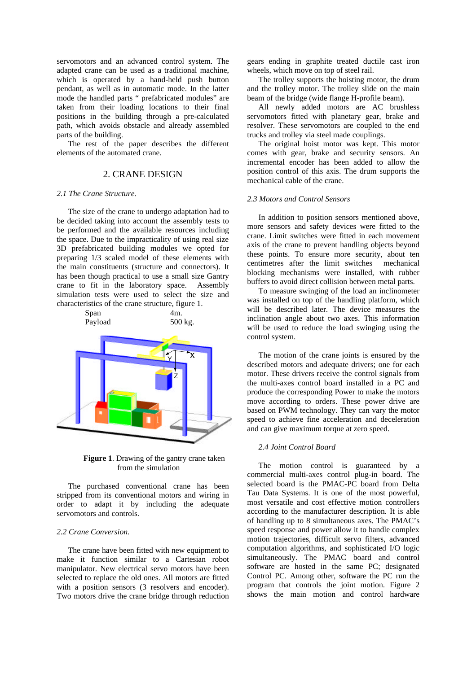servomotors and an advanced control system. The adapted crane can be used as a traditional machine, which is operated by a hand-held push button pendant, as well as in automatic mode. In the latter mode the handled parts " prefabricated modules" are taken from their loading locations to their final positions in the building through a pre-calculated path, which avoids obstacle and already assembled parts of the building.

The rest of the paper describes the different elements of the automated crane.

# 2. CRANE DESIGN

#### *2.1 The Crane Structure.*

The size of the crane to undergo adaptation had to be decided taking into account the assembly tests to be performed and the available resources including the space. Due to the impracticality of using real size 3D prefabricated building modules we opted for preparing 1/3 scaled model of these elements with the main constituents (structure and connectors). It has been though practical to use a small size Gantry crane to fit in the laboratory space. Assembly simulation tests were used to select the size and characteristics of the crane structure, figure 1.



**Figure 1**. Drawing of the gantry crane taken from the simulation

The purchased conventional crane has been stripped from its conventional motors and wiring in order to adapt it by including the adequate servomotors and controls.

#### *2.2 Crane Conversion.*

The crane have been fitted with new equipment to make it function similar to a Cartesian robot manipulator. New electrical servo motors have been selected to replace the old ones. All motors are fitted with a position sensors (3 resolvers and encoder). Two motors drive the crane bridge through reduction

gears ending in graphite treated ductile cast iron wheels, which move on top of steel rail.

The trolley supports the hoisting motor, the drum and the trolley motor. The trolley slide on the main beam of the bridge (wide flange H-profile beam).

All newly added motors are AC brushless servomotors fitted with planetary gear, brake and resolver. These servomotors are coupled to the end trucks and trolley via steel made couplings.

The original hoist motor was kept. This motor comes with gear, brake and security sensors. An incremental encoder has been added to allow the position control of this axis. The drum supports the mechanical cable of the crane.

#### *2.3 Motors and Control Sensors*

In addition to position sensors mentioned above, more sensors and safety devices were fitted to the crane. Limit switches were fitted in each movement axis of the crane to prevent handling objects beyond these points. To ensure more security, about ten centimetres after the limit switches mechanical blocking mechanisms were installed, with rubber buffers to avoid direct collision between metal parts.

To measure swinging of the load an inclinometer was installed on top of the handling platform, which will be described later. The device measures the inclination angle about two axes. This information will be used to reduce the load swinging using the control system.

The motion of the crane joints is ensured by the described motors and adequate drivers; one for each motor. These drivers receive the control signals from the multi-axes control board installed in a PC and produce the corresponding Power to make the motors move according to orders. These power drive are based on PWM technology. They can vary the motor speed to achieve fine acceleration and deceleration and can give maximum torque at zero speed.

### *2.4 Joint Control Board*

The motion control is guaranteed by a commercial multi-axes control plug-in board. The selected board is the PMAC-PC board from Delta Tau Data Systems. It is one of the most powerful, most versatile and cost effective motion controllers according to the manufacturer description. It is able of handling up to 8 simultaneous axes. The PMAC's speed response and power allow it to handle complex motion trajectories, difficult servo filters, advanced computation algorithms, and sophisticated I/O logic simultaneously. The PMAC board and control software are hosted in the same PC; designated Control PC. Among other, software the PC run the program that controls the joint motion. Figure 2 shows the main motion and control hardware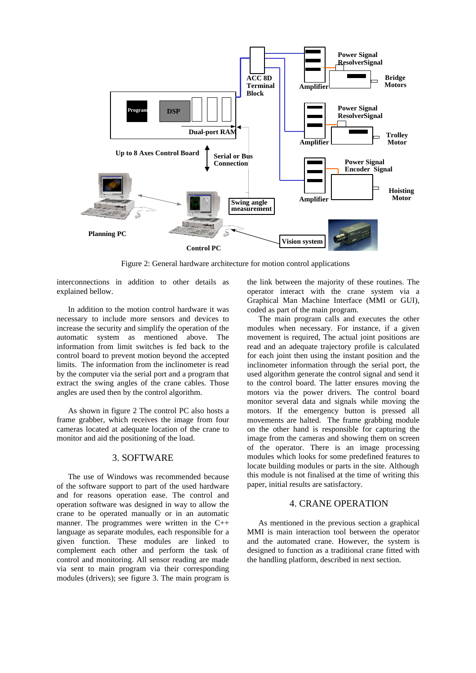

Figure 2: General hardware architecture for motion control applications

interconnections in addition to other details as explained bellow.

In addition to the motion control hardware it was necessary to include more sensors and devices to increase the security and simplify the operation of the automatic system as mentioned above. The information from limit switches is fed back to the control board to prevent motion beyond the accepted limits. The information from the inclinometer is read by the computer via the serial port and a program that extract the swing angles of the crane cables. Those angles are used then by the control algorithm.

As shown in figure 2 The control PC also hosts a frame grabber, which receives the image from four cameras located at adequate location of the crane to monitor and aid the positioning of the load.

## 3. SOFTWARE

The use of Windows was recommended because of the software support to part of the used hardware and for reasons operation ease. The control and operation software was designed in way to allow the crane to be operated manually or in an automatic manner. The programmes were written in the C++ language as separate modules, each responsible for a given function. These modules are linked to complement each other and perform the task of control and monitoring. All sensor reading are made via sent to main program via their corresponding modules (drivers); see figure 3. The main program is

the link between the majority of these routines. The operator interact with the crane system via a Graphical Man Machine Interface (MMI or GUI), coded as part of the main program.

The main program calls and executes the other modules when necessary. For instance, if a given movement is required, The actual joint positions are read and an adequate trajectory profile is calculated for each joint then using the instant position and the inclinometer information through the serial port, the used algorithm generate the control signal and send it to the control board. The latter ensures moving the motors via the power drivers. The control board monitor several data and signals while moving the motors. If the emergency button is pressed all movements are halted. The frame grabbing module on the other hand is responsible for capturing the image from the cameras and showing them on screen of the operator. There is an image processing modules which looks for some predefined features to locate building modules or parts in the site. Although this module is not finalised at the time of writing this paper, initial results are satisfactory.

## 4. CRANE OPERATION

As mentioned in the previous section a graphical MMI is main interaction tool between the operator and the automated crane. However, the system is designed to function as a traditional crane fitted with the handling platform, described in next section.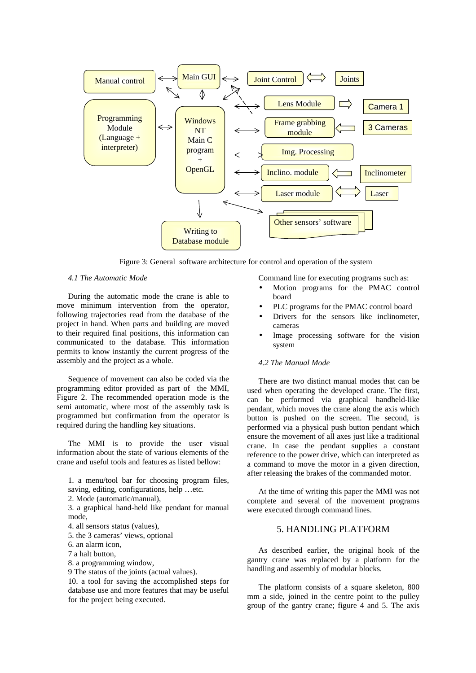

Figure 3: General software architecture for control and operation of the system

#### *4.1 The Automatic Mode*

During the automatic mode the crane is able to move minimum intervention from the operator, following trajectories read from the database of the project in hand. When parts and building are moved to their required final positions, this information can communicated to the database. This information permits to know instantly the current progress of the assembly and the project as a whole.

Sequence of movement can also be coded via the programming editor provided as part of the MMI, Figure 2. The recommended operation mode is the semi automatic, where most of the assembly task is programmed but confirmation from the operator is required during the handling key situations.

The MMI is to provide the user visual information about the state of various elements of the crane and useful tools and features as listed bellow:

1. a menu/tool bar for choosing program files, saving, editing, configurations, help …etc.

2. Mode (automatic/manual),

3. a graphical hand-held like pendant for manual mode,

- 4. all sensors status (values),
- 5. the 3 cameras' views, optional
- 6. an alarm icon,
- 7 a halt button,
- 8. a programming window,
- 9 The status of the joints (actual values).

10. a tool for saving the accomplished steps for database use and more features that may be useful for the project being executed.

Command line for executing programs such as:

- Motion programs for the PMAC control board
- PLC programs for the PMAC control board
- Drivers for the sensors like inclinometer, cameras
- Image processing software for the vision system

### *4.2 The Manual Mode*

There are two distinct manual modes that can be used when operating the developed crane. The first, can be performed via graphical handheld-like pendant, which moves the crane along the axis which button is pushed on the screen. The second, is performed via a physical push button pendant which ensure the movement of all axes just like a traditional crane. In case the pendant supplies a constant reference to the power drive, which can interpreted as a command to move the motor in a given direction, after releasing the brakes of the commanded motor.

At the time of writing this paper the MMI was not complete and several of the movement programs were executed through command lines.

## 5. HANDLING PLATFORM

As described earlier, the original hook of the gantry crane was replaced by a platform for the handling and assembly of modular blocks.

The platform consists of a square skeleton, 800 mm a side, joined in the centre point to the pulley group of the gantry crane; figure 4 and 5. The axis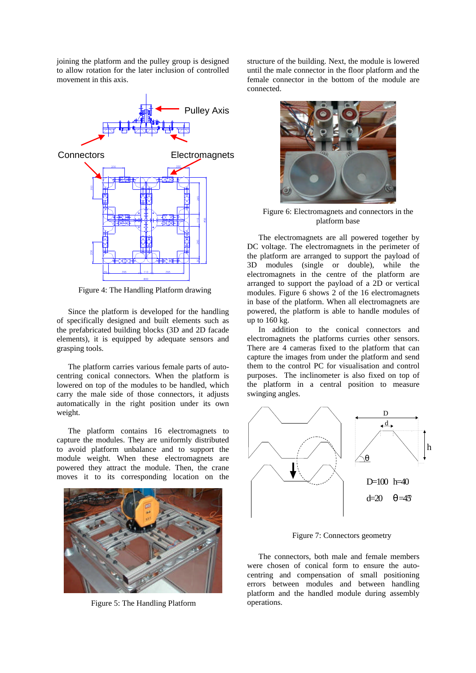joining the platform and the pulley group is designed to allow rotation for the later inclusion of controlled movement in this axis.



Figure 4: The Handling Platform drawing

Since the platform is developed for the handling of specifically designed and built elements such as the prefabricated building blocks (3D and 2D facade elements), it is equipped by adequate sensors and grasping tools.

The platform carries various female parts of autocentring conical connectors. When the platform is lowered on top of the modules to be handled, which carry the male side of those connectors, it adjusts automatically in the right position under its own weight.

The platform contains 16 electromagnets to capture the modules. They are uniformly distributed to avoid platform unbalance and to support the module weight. When these electromagnets are powered they attract the module. Then, the crane moves it to its corresponding location on the



Figure 5: The Handling Platform

structure of the building. Next, the module is lowered until the male connector in the floor platform and the female connector in the bottom of the module are connected.



Figure 6: Electromagnets and connectors in the platform base

The electromagnets are all powered together by DC voltage. The electromagnets in the perimeter of the platform are arranged to support the payload of 3D modules (single or double), while the electromagnets in the centre of the platform are arranged to support the payload of a 2D or vertical modules. Figure 6 shows 2 of the 16 electromagnets in base of the platform. When all electromagnets are powered, the platform is able to handle modules of up to 160 kg.

In addition to the conical connectors and electromagnets the platforms curries other sensors. There are 4 cameras fixed to the platform that can capture the images from under the platform and send them to the control PC for visualisation and control purposes. The inclinometer is also fixed on top of the platform in a central position to measure swinging angles.



Figure 7: Connectors geometry

The connectors, both male and female members were chosen of conical form to ensure the autocentring and compensation of small positioning errors between modules and between handling platform and the handled module during assembly operations.